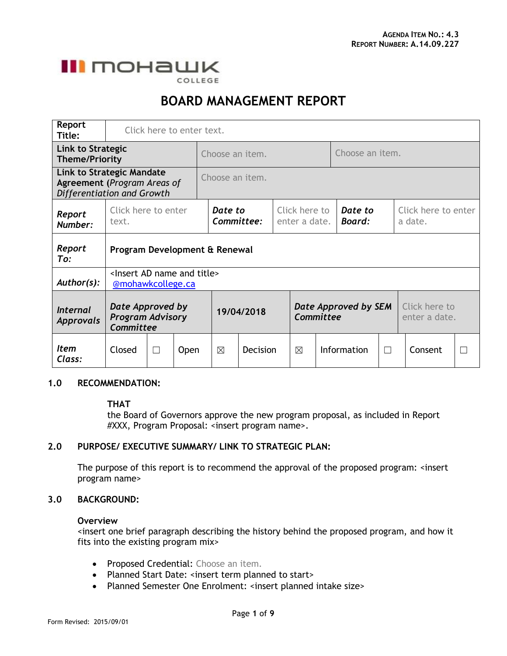

COLLEGE

# **BOARD MANAGEMENT REPORT**

| Report<br>Title:                                                                              | Click here to enter text.                                             |        |             |                 |                                              |  |           |                          |                      |                                |                                |         |              |  |  |
|-----------------------------------------------------------------------------------------------|-----------------------------------------------------------------------|--------|-------------|-----------------|----------------------------------------------|--|-----------|--------------------------|----------------------|--------------------------------|--------------------------------|---------|--------------|--|--|
| Link to Strategic<br><b>Theme/Priority</b>                                                    |                                                                       |        |             | Choose an item. |                                              |  |           |                          | Choose an item.      |                                |                                |         |              |  |  |
| <b>Link to Strategic Mandate</b><br>Agreement (Program Areas of<br>Differentiation and Growth |                                                                       |        |             | Choose an item. |                                              |  |           |                          |                      |                                |                                |         |              |  |  |
| Report<br>Number:                                                                             | Click here to enter<br>text.                                          |        |             | Date to         | Click here to<br>Committee:<br>enter a date. |  |           | Date to<br><b>Board:</b> |                      | Click here to enter<br>a date. |                                |         |              |  |  |
| Report<br>To:                                                                                 | Program Development & Renewal                                         |        |             |                 |                                              |  |           |                          |                      |                                |                                |         |              |  |  |
| Author(s):                                                                                    | <lnsert ad="" and="" name="" title=""><br/>@mohawkcollege.ca</lnsert> |        |             |                 |                                              |  |           |                          |                      |                                |                                |         |              |  |  |
| <b>Internal</b><br>Approvals                                                                  | Date Approved by<br><b>Program Advisory</b><br>Committee              |        |             | 19/04/2018      |                                              |  | Committee |                          | Date Approved by SEM |                                | Click here to<br>enter a date. |         |              |  |  |
| <i>Item</i><br>Class:                                                                         | Closed                                                                | $\Box$ | <b>Open</b> | ⊠               | <b>Decision</b>                              |  | ⊠         |                          | Information          | $\Box$                         |                                | Consent | $\mathbf{L}$ |  |  |

## **1.0 RECOMMENDATION:**

#### **THAT**

the Board of Governors approve the new program proposal, as included in Report #XXX, Program Proposal: <insert program name>.

## **2.0 PURPOSE/ EXECUTIVE SUMMARY/ LINK TO STRATEGIC PLAN:**

The purpose of this report is to recommend the approval of the proposed program: <insert program name>

#### **3.0 BACKGROUND:**

#### **Overview**

<insert one brief paragraph describing the history behind the proposed program, and how it fits into the existing program mix>

- Proposed Credential: Choose an item.
- Planned Start Date: <insert term planned to start>
- Planned Semester One Enrolment: <insert planned intake size>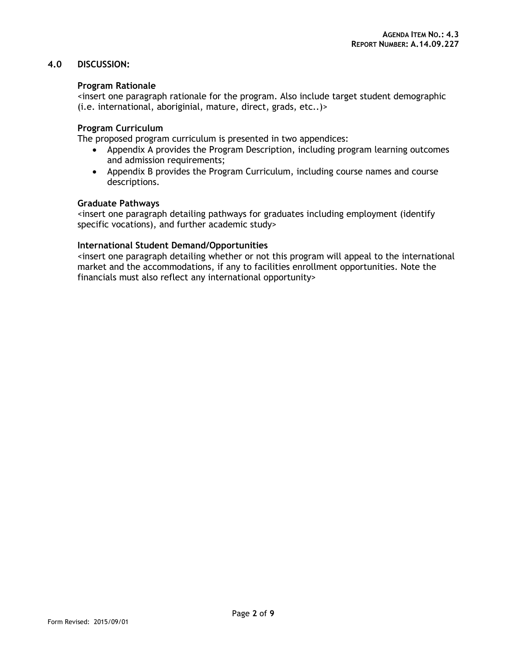## **4.0 DISCUSSION:**

## **Program Rationale**

<insert one paragraph rationale for the program. Also include target student demographic (i.e. international, aboriginial, mature, direct, grads, etc..)>

## **Program Curriculum**

The proposed program curriculum is presented in two appendices:

- Appendix A provides the Program Description, including program learning outcomes and admission requirements;
- Appendix B provides the Program Curriculum, including course names and course descriptions.

## **Graduate Pathways**

<insert one paragraph detailing pathways for graduates including employment (identify specific vocations), and further academic study>

## **International Student Demand/Opportunities**

<insert one paragraph detailing whether or not this program will appeal to the international market and the accommodations, if any to facilities enrollment opportunities. Note the financials must also reflect any international opportunity>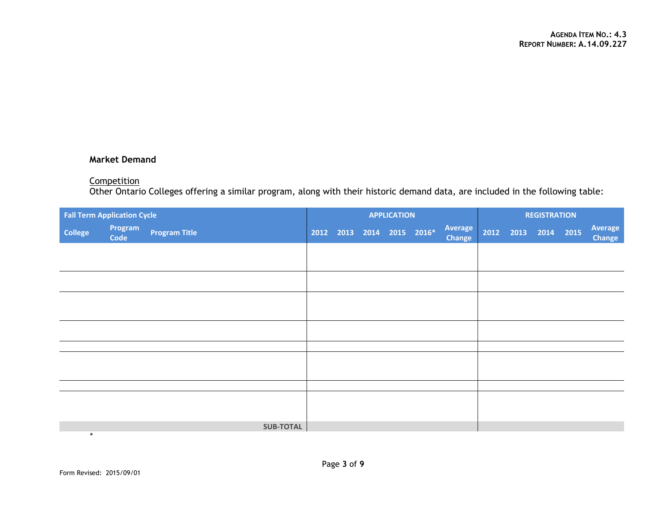## **Market Demand**

#### **Competition**

Other Ontario Colleges offering a similar program, along with their historic demand data, are included in the following table:

| <b>Fall Term Application Cycle</b> |                 |                      |  | <b>APPLICATION</b> |  |  |                           |                          |  | <b>REGISTRATION</b> |  |  |                   |  |
|------------------------------------|-----------------|----------------------|--|--------------------|--|--|---------------------------|--------------------------|--|---------------------|--|--|-------------------|--|
| <b>College</b>                     | Program<br>Code | <b>Program Title</b> |  |                    |  |  | 2012 2013 2014 2015 2016* | Average<br><b>Change</b> |  | 2012 2013 2014 2015 |  |  | Average<br>Change |  |
|                                    |                 |                      |  |                    |  |  |                           |                          |  |                     |  |  |                   |  |
|                                    |                 |                      |  |                    |  |  |                           |                          |  |                     |  |  |                   |  |
|                                    |                 |                      |  |                    |  |  |                           |                          |  |                     |  |  |                   |  |
|                                    |                 |                      |  |                    |  |  |                           |                          |  |                     |  |  |                   |  |
|                                    |                 |                      |  |                    |  |  |                           |                          |  |                     |  |  |                   |  |
|                                    |                 |                      |  |                    |  |  |                           |                          |  |                     |  |  |                   |  |
|                                    |                 |                      |  |                    |  |  |                           |                          |  |                     |  |  |                   |  |
|                                    |                 |                      |  |                    |  |  |                           |                          |  |                     |  |  |                   |  |
|                                    |                 |                      |  |                    |  |  |                           |                          |  |                     |  |  |                   |  |
|                                    |                 |                      |  |                    |  |  |                           |                          |  |                     |  |  |                   |  |
|                                    |                 |                      |  |                    |  |  |                           |                          |  |                     |  |  |                   |  |
|                                    |                 |                      |  |                    |  |  |                           |                          |  |                     |  |  |                   |  |
|                                    |                 | <b>SUB-TOTAL</b>     |  |                    |  |  |                           |                          |  |                     |  |  |                   |  |
| $\star$                            |                 |                      |  |                    |  |  |                           |                          |  |                     |  |  |                   |  |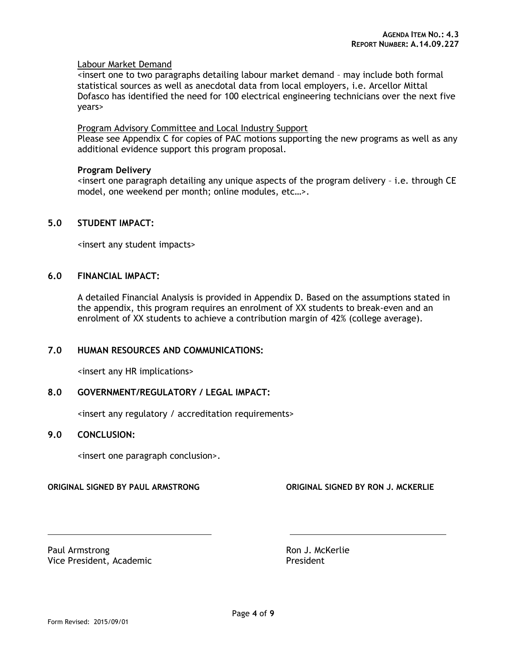#### Labour Market Demand

<insert one to two paragraphs detailing labour market demand – may include both formal statistical sources as well as anecdotal data from local employers, i.e. Arcellor Mittal Dofasco has identified the need for 100 electrical engineering technicians over the next five years>

#### Program Advisory Committee and Local Industry Support

Please see Appendix C for copies of PAC motions supporting the new programs as well as any additional evidence support this program proposal.

#### **Program Delivery**

 $\epsilon$  insert one paragraph detailing any unique aspects of the program delivery  $\epsilon$  i.e. through CE model, one weekend per month; online modules, etc…>.

## **5.0 STUDENT IMPACT:**

<insert any student impacts>

#### **6.0 FINANCIAL IMPACT:**

A detailed Financial Analysis is provided in Appendix D. Based on the assumptions stated in the appendix, this program requires an enrolment of XX students to break-even and an enrolment of XX students to achieve a contribution margin of 42% (college average).

#### **7.0 HUMAN RESOURCES AND COMMUNICATIONS:**

<insert any HR implications>

## **8.0 GOVERNMENT/REGULATORY / LEGAL IMPACT:**

<insert any regulatory / accreditation requirements>

## **9.0 CONCLUSION:**

<insert one paragraph conclusion>.

#### **ORIGINAL SIGNED BY PAUL ARMSTRONG ORIGINAL SIGNED BY RON J. MCKERLIE**

Paul Armstrong **Ron J. McKerlie** Vice President, Academic **President**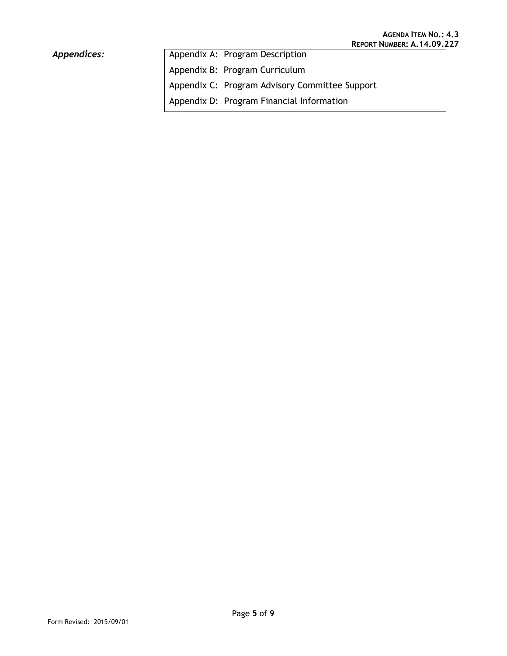# Appendices:

| Appendix A: Program Description                |
|------------------------------------------------|
| Appendix B: Program Curriculum                 |
| Appendix C: Program Advisory Committee Support |
| Appendix D: Program Financial Information      |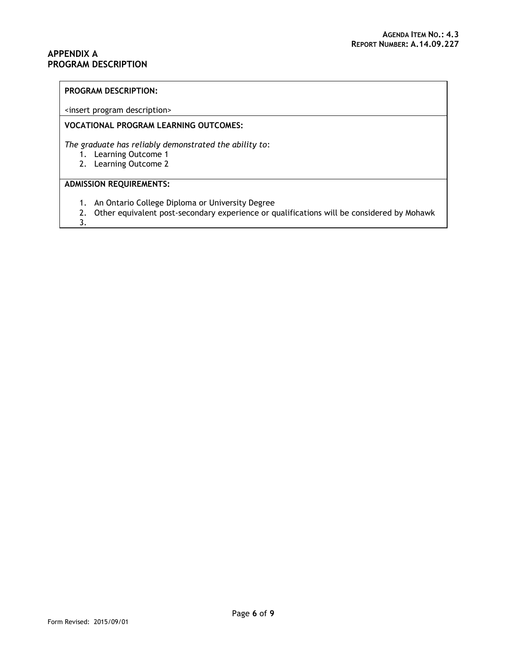#### <span id="page-5-0"></span>**APPENDIX A PROGRAM DESCRIPTION**

#### **PROGRAM DESCRIPTION:**

<insert program description>

#### **VOCATIONAL PROGRAM LEARNING OUTCOMES:**

*The graduate has reliably demonstrated the ability to*:

- 1. Learning Outcome 1
- 2. Learning Outcome 2

## **ADMISSION REQUIREMENTS:**

- 1. An Ontario College Diploma or University Degree
- 2. Other equivalent post-secondary experience or qualifications will be considered by Mohawk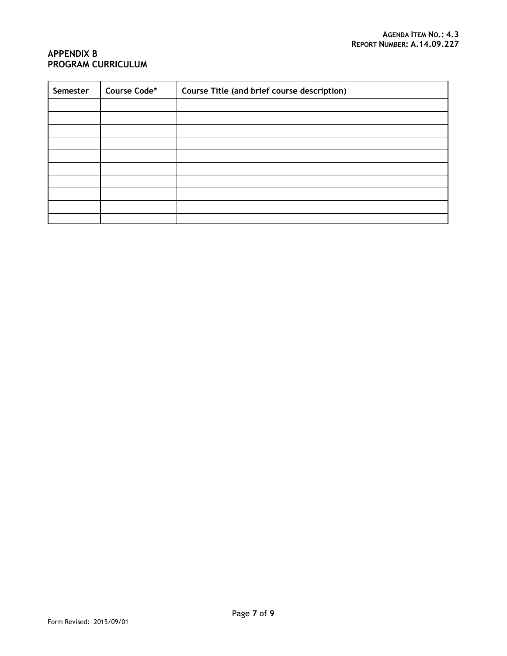## <span id="page-6-0"></span>**APPENDIX B PROGRAM CURRICULUM**

| Semester | Course Code* | Course Title (and brief course description) |  |  |  |  |  |  |
|----------|--------------|---------------------------------------------|--|--|--|--|--|--|
|          |              |                                             |  |  |  |  |  |  |
|          |              |                                             |  |  |  |  |  |  |
|          |              |                                             |  |  |  |  |  |  |
|          |              |                                             |  |  |  |  |  |  |
|          |              |                                             |  |  |  |  |  |  |
|          |              |                                             |  |  |  |  |  |  |
|          |              |                                             |  |  |  |  |  |  |
|          |              |                                             |  |  |  |  |  |  |
|          |              |                                             |  |  |  |  |  |  |
|          |              |                                             |  |  |  |  |  |  |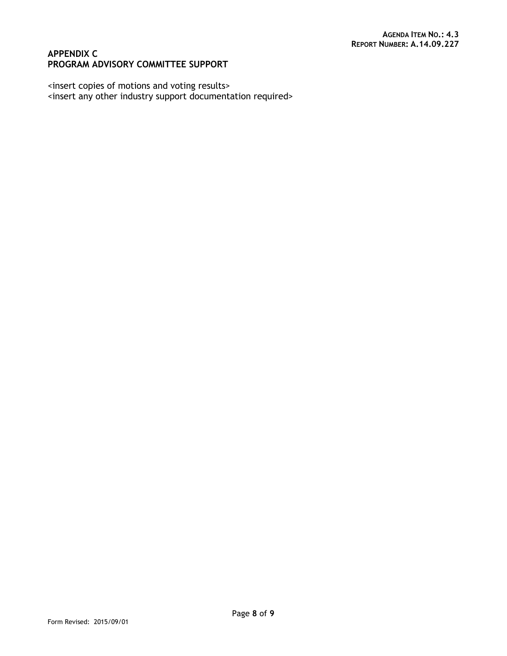## <span id="page-7-0"></span>**APPENDIX C PROGRAM ADVISORY COMMITTEE SUPPORT**

<insert copies of motions and voting results> <insert any other industry support documentation required>